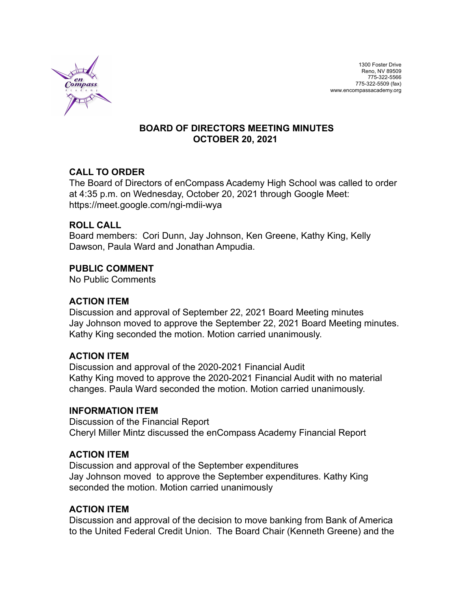

## **BOARD OF DIRECTORS MEETING MINUTES OCTOBER 20, 2021**

## **CALL TO ORDER**

The Board of Directors of enCompass Academy High School was called to order at 4:35 p.m. on Wednesday, October 20, 2021 through Google Meet: https://meet.google.com/ngi-mdii-wya

### **ROLL CALL**

Board members: Cori Dunn, Jay Johnson, Ken Greene, Kathy King, Kelly Dawson, Paula Ward and Jonathan Ampudia.

### **PUBLIC COMMENT**

No Public Comments

### **ACTION ITEM**

Discussion and approval of September 22, 2021 Board Meeting minutes Jay Johnson moved to approve the September 22, 2021 Board Meeting minutes. Kathy King seconded the motion. Motion carried unanimously.

#### **ACTION ITEM**

Discussion and approval of the 2020-2021 Financial Audit Kathy King moved to approve the 2020-2021 Financial Audit with no material changes. Paula Ward seconded the motion. Motion carried unanimously.

#### **INFORMATION ITEM**

Discussion of the Financial Report Cheryl Miller Mintz discussed the enCompass Academy Financial Report

## **ACTION ITEM**

Discussion and approval of the September expenditures Jay Johnson moved to approve the September expenditures. Kathy King seconded the motion. Motion carried unanimously

#### **ACTION ITEM**

Discussion and approval of the decision to move banking from Bank of America to the United Federal Credit Union. The Board Chair (Kenneth Greene) and the